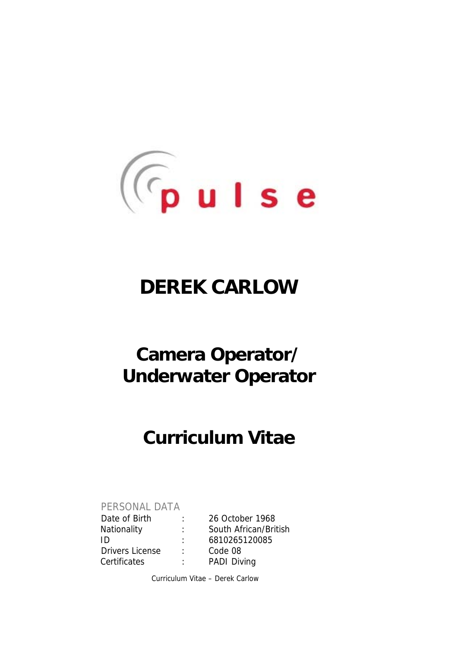

# **DEREK CARLOW**

# **Camera Operator/ Underwater Operator**

# **Curriculum Vitae**

PERSONAL DATA

Date of Birth : 26 October 1968 Nationality : South African/British ID : 6810265120085 Drivers License and the Code 08 Certificates : PADI Diving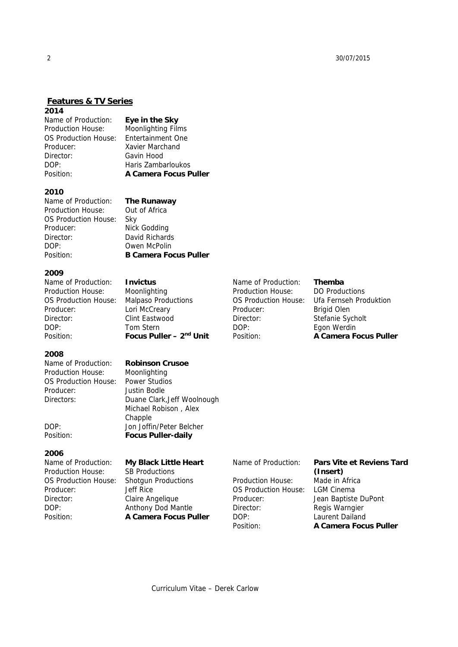# **Features & TV Series**

**2014** 

Name of Production: **Eye in the Sky**  Production House: Moonlighting Films OS Production House: Entertainment One Producer: Xavier Marchand Director: Gavin Hood DOP: Haris Zambarloukos

Position: **A Camera Focus Puller**

### **2010**

Name of Production: **The Runaway**  Production House: Out of Africa OS Production House: Sky Producer: Nick Godding Director: David Richards DOP: Owen McPolin Position: **B Camera Focus Puller**

### **2009**

Name of Production: **Invictus**  Production House: Moonlighting OS Production House: Malpaso Productions Producer: Lori McCreary Director: Clint Eastwood DOP: Tom Stern Position: **Focus Puller – 2<sup>nd</sup> Unit** 

### **2008**

Name of Production: **Robinson Crusoe**  Production House: Moonlighting OS Production House: Power Studios Producer: Justin Bodle

### **2006**

Name of Production: **My Black Little Heart** Production House: SB Productions OS Production House: Shotgun Productions Producer: Jeff Rice Director: Claire Angelique DOP: Anthony Dod Mantle

# Directors: Duane Clark,Jeff Woolnough Michael Robison , Alex Chapple DOP: Jon Joffin/Peter Belcher Position: **Focus Puller-daily**

Position: **A Camera Focus Puller** 

Production House: DO Productions Producer: Brigid Olen Director: Stefanie Sycholt DOP: Egon Werdin

### Name of Production: **Themba**

OS Production House: Ufa Fernseh Produktion Position: **A Camera Focus Puller** 

Production House: Made in Africa OS Production House: LGM Cinema Director: Regis Warngier DOP: Laurent Dailand

# Name of Production: **Pars Vite et Reviens Tard (Insert)**

Producer: Jean Baptiste DuPont Position: **A Camera Focus Puller**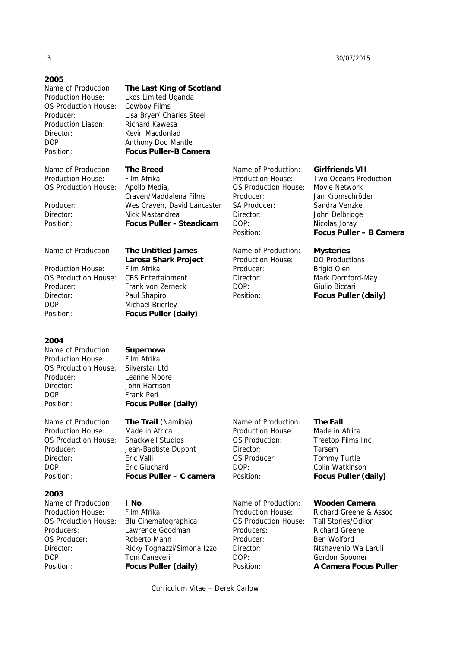### **2005**

Production House: Lkos Limited Uganda OS Production House: Cowboy Films Production Liason: Richard Kawesa Director: Kevin Macdonlad DOP: Anthony Dod Mantle

# Name of Production: **The Last King of Scotland**

Producer: Lisa Bryer/ Charles Steel Position: **Focus Puller-B Camera** 

Name of Production: **The Breed**  Production House: Film Afrika OS Production House: Apollo Media,

 Craven/Maddalena Films Producer: Wes Craven, David Lancaster Director: Nick Mastandrea Position: **Focus Puller - Steadicam** 

 **Larosa Shark Project** 

Name of Production: **The Untitled James** 

Production House: Film Afrika OS Production House: CBS Entertainment Producer: Frank von Zerneck Director: Paul Shapiro DOP: Michael Brierley Position: **Focus Puller (daily)** 

### **2004**

Name of Production: **Supernova**  Production House: Film Afrika OS Production House: Silverstar Ltd Producer: Leanne Moore Director: John Harrison DOP: Frank Perl Position: **Focus Puller (daily)** 

Name of Production: **The Trail** (Namibia) Production House: Made in Africa OS Production House: Shackwell Studios Producer: Jean-Baptiste Dupont Director: Eric Valli DOP: Eric Giuchard

### **2003**

Name of Production: **I No**  Production House: Film Afrika OS Production House: Blu Cinematographica Producers: Lawrence Goodman OS Producer: Roberto Mann DOP: Toni Caneveri

Position: **Focus Puller – C camera** 

Director: Ricky Tognazzi/Simona Izzo Position: **Focus Puller (daily)** 

Name of Production: **The Fall**  Director: Tarsem Position: **Focus Puller (daily)** 

Production House: Richard Greene & Assoc OS Production House: Tall Stories/Odlion Producers: Richard Greene Producer: Ben Wolford Director: Ntshavenio Wa Laruli DOP: Gordon Spooner

# Producer: Jan Kromschröder

SA Producer: Sandra Venzke Director: John Delbridge DOP: Nicolas Joray Position: **Focus Puller – B Camera** 

### Name of Production: **Mysteries**

Name of Production: **Girlfriends VII**  Production House: Two Oceans Production

OS Production House: Movie Network

Production House: DO Productions Producer: Brigid Olen Director: Mark Dornford-May DOP: Giulio Biccari Position: **Focus Puller (daily)** 

Production House: Made in Africa OS Production: Treetop Films Inc OS Producer: Tommy Turtle DOP: Colin Watkinson

Name of Production: **Wooden Camera** 

Position: **A Camera Focus Puller**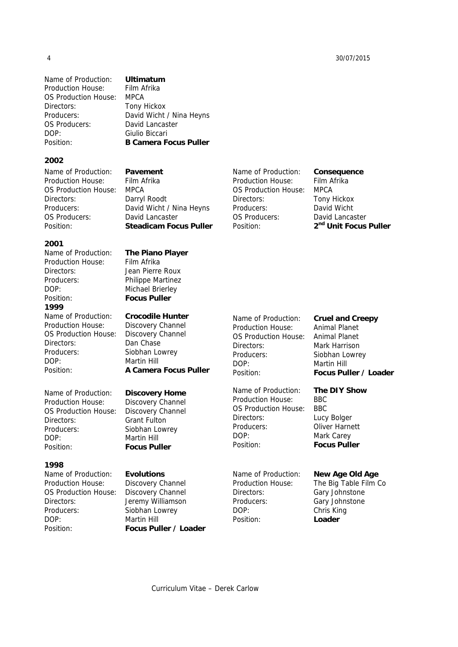Name of Production: **Ultimatum**  Production House: Film Afrika OS Production House: MPCA Directors: Tony Hickox Producers: David Wicht / Nina Heyns OS Producers: David Lancaster DOP: Giulio Biccari Position: **B Camera Focus Puller** 

**2002** 

Name of Production: **Pavement**  Production House: Film Afrika OS Production House: MPCA Directors: Darryl Roodt Producers: David Wicht / Nina Heyns OS Producers: David Lancaster Position: **Steadicam Focus Puller** 

### **2001**

Production House: Film Afrika Directors: Jean Pierre Roux Producers: Philippe Martinez DOP: Michael Brierley Position: **Focus Puller 1999**  Name of Production: **Crocodile Hunter**  Production House: Discovery Channel OS Production House: Discovery Channel Directors: Dan Chase Producers: Siobhan Lowrey DOP: Martin Hill

Name of Production: **Discovery Home**  Production House: Discovery Channel OS Production House: Discovery Channel Directors: Grant Fulton Producers: Siobhan Lowrey DOP: Martin Hill Position: **Focus Puller** 

### **1998**

Name of Production: **Evolutions**  Production House: Discovery Channel OS Production House: Discovery Channel Directors: Jeremy Williamson Producers: Siobhan Lowrey DOP: Martin Hill

Name of Production: **The Piano Player**

Position: **A Camera Focus Puller** 

Position: **Focus Puller / Loader** 

Production House: Animal Planet OS Production House: Animal Planet Directors: Mark Harrison Producers: Siobhan Lowrey DOP: Martin Hill

Name of Production: **Consequence**  Production House: Film Afrika OS Production House: MPCA Directors: Tony Hickox Producers: David Wicht OS Producers: David Lancaster Position: **2nd Unit Focus Puller** 

Production House: BBC OS Production House: BBC Directors: Lucy Bolger Producers: Oliver Harnett DOP: Mark Carey Position: **Focus Puller** 

Directors: Gary Johnstone Producers: Gary Johnstone DOP: Chris King Position: **Loader** 

# Name of Production: **Cruel and Creepy**

Position: **Focus Puller / Loader** 

Name of Production: **The DIY Show** 

## Name of Production: **New Age Old Age**

Production House: The Big Table Film Co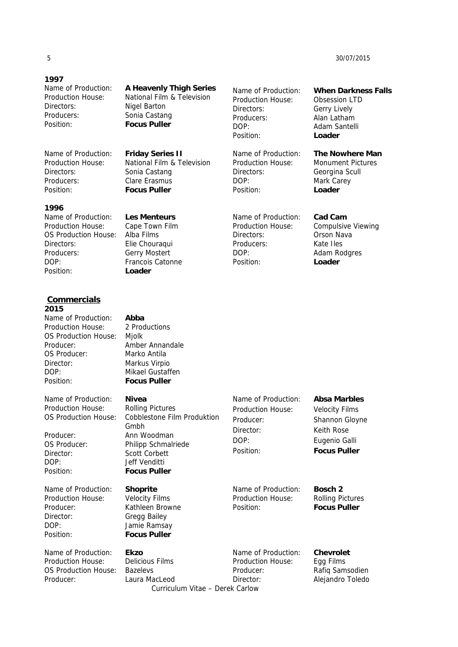## **1997**

Directors: Nigel Barton Producers: Sonia Castang Position: **Focus Puller** 

Name of Production: **Friday Series II**  Directors: Sonia Castang Producers: Clare Erasmus Position: **Focus Puller** 

### **1996**

Name of Production: **Les Menteurs**  Production House: Cape Town Film<br>OS Production House: Alba Films OS Production House: Directors: Elie Chouraqui Producers: Gerry Mostert<br>
DOP: Francois Cator Position: **Loader** 

**Commercials 2015** 

Name of Production: **Abba**  Production H OS Productio Producer: OS Producer Director: DOP: Position:

Name of Production: **A Heavenly Thigh Series**  Production House: National Film & Television

Production House: National Film & Television

Francois Catonne

Production House: Obsession LTD Directors: Gerry Lively Producers: Alan Latham DOP: Adam Santelli Position: **Loader** 

Name of Production: **The Nowhere Man**  Production House: Monument Pictures Directors: Georgina Scull DOP: Mark Carey Position: **Loader** 

Name of Production: **Cad Cam**  Production House: Compulsive Viewing Directors: Orson Nava Producers: Kate Iles DOP: Adam Rodgres Position: **Loader** 

Name of Production: **When Darkness Falls** 

| Production House:<br>OS Production House:<br>Producer:<br>OS Producer:<br>Director:<br>DOP:<br>Position:                        | 2 Productions<br>Mjolk<br>Amber Annandale<br>Marko Antila<br>Markus Virpio<br>Mikael Gustaffen<br><b>Focus Puller</b>                                                                       |                                                                                                |                                                                                                                      |
|---------------------------------------------------------------------------------------------------------------------------------|---------------------------------------------------------------------------------------------------------------------------------------------------------------------------------------------|------------------------------------------------------------------------------------------------|----------------------------------------------------------------------------------------------------------------------|
| Name of Production:<br>Production House:<br>OS Production House:<br>Producer:<br>OS Producer:<br>Director:<br>DOP:<br>Position: | <b>Nivea</b><br><b>Rolling Pictures</b><br><b>Cobblestone Film Produktion</b><br>Gmbh<br>Ann Woodman<br>Philipp Schmalriede<br><b>Scott Corbett</b><br>Jeff Venditti<br><b>Focus Puller</b> | Name of Production:<br><b>Production House:</b><br>Producer:<br>Director:<br>DOP:<br>Position: | <b>Absa Marbles</b><br><b>Velocity Films</b><br>Shannon Gloyne<br>Keith Rose<br>Eugenio Galli<br><b>Focus Puller</b> |
| Name of Production:<br>Production House:<br>Producer:<br>Director:<br>DOP:<br>Position:                                         | <b>Shoprite</b><br><b>Velocity Films</b><br>Kathleen Browne<br><b>Gregg Bailey</b><br>Jamie Ramsay<br><b>Focus Puller</b>                                                                   | Name of Production:<br><b>Production House:</b><br>Position:                                   | Bosch 2<br><b>Rolling Pictures</b><br><b>Focus Puller</b>                                                            |
| Name of Production:<br>Production House:<br>OS Production House:<br>Producer:                                                   | <b>Ekzo</b><br><b>Delicious Films</b><br><b>Bazelevs</b><br>Laura MacLeod<br>Curriculum Vitae - Derek Carlow                                                                                | Name of Production:<br>Production House:<br>Producer:<br>Director:                             | <b>Chevrolet</b><br>Egg Films<br>Rafiq Samsodien<br>Alejandro Toledo                                                 |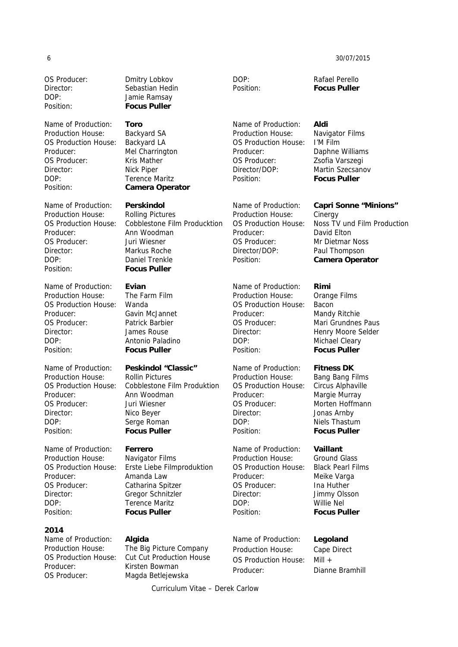OS Producer: Dmitry Lobkov DOP: Jamie Ramsay Position: **Focus Puller** 

Name of Production: **Toro**  Production House: Backyard SA OS Production House: Backyard LA Producer: Mel Charrington OS Producer: Kris Mather Director: Nick Piper DOP: Terence Maritz Position: **Camera Operator**

Name of Production: **Perskindol**  Production House: Rolling Pictures Producer: Ann Woodman OS Producer: Juri Wiesner Director: Markus Roche DOP: Daniel Trenkle Position: **Focus Puller**

Name of Production: **Evian**  Production House: The Farm Film OS Production House: Wanda Producer: Gavin McJannet OS Producer: Patrick Barbier Director: James Rouse DOP: Antonio Paladino Position: **Focus Puller** 

Name of Production: **Peskindol "Classic"** Production House: Rollin Pictures Producer: Ann Woodman OS Producer: Juri Wiesner Director: Nico Beyer DOP: Serge Roman Position: **Focus Puller** 

Name of Production: **Ferrero** Production House: Navigator Films Producer: Amanda Law OS Producer: Catharina Spitzer Director: Gregor Schnitzler DOP: Terence Maritz Position: **Focus Puller** 

# **2014**

Name of Production: **Algida**  Producer: Kirsten Bowman OS Producer: Magda Betlejewska

Director: Sebastian Hedin

OS Production House: Cobblestone Film Producktion

OS Production House: Cobblestone Film Produktion

OS Production House: Erste Liebe Filmproduktion

Production House: The Big Picture Company OS Production House: Cut Cut Production House

Name of Production: **Aldi**  Production House: Navigator Films OS Production House: I'M Film Producer: Daphne Williams OS Producer: Zsofia Varszegi Director/DOP: Martin Szecsanov Position: **Focus Puller** 

Production House: Cinergy Producer: David Elton OS Producer: Mr Dietmar Noss Director/DOP: Paul Thompson Position: **Camera Operator** 

Name of Production: **Rimi**  Production House: Orange Films OS Production House: Bacon Producer: Mandy Ritchie OS Producer: Mari Grundnes Paus Director: Henry Moore Selder DOP: Michael Cleary Position: **Focus Puller** 

Name of Production: **Fitness DK** Production House: Bang Bang Films OS Production House: Circus Alphaville Producer: Margie Murray OS Producer: Morten Hoffmann Director: Jonas Arnby DOP: Niels Thastum Position: **Focus Puller** 

Name of Production: **Vaillant**  Production House: Ground Glass OS Production House: Black Pearl Films Producer: Meike Varga OS Producer: Ina Huther Director: Jimmy Olsson DOP: Willie Nel Position: **Focus Puller** 

Name of Production: **Legoland**  Production House: Cape Direct OS Production House: Mill + Producer: Dianne Bramhill

DOP: Rafael Perello Position: **Focus Puller** 

Name of Production: **Capri Sonne "Minions"**

OS Production House: Noss TV und Film Production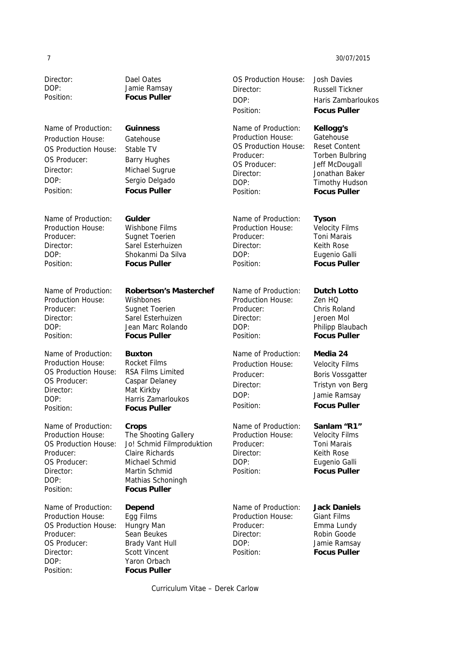Name of Production: **Guinness** Production House: Gatehouse OS Production House: Stable TV OS Producer: Barry Hughes Director: Michael Sugrue DOP: Sergio Delgado Position: **Focus Puller** 

Name of Production: **Gulder**  Production House: Wishbone Films Producer: Sugnet Toerien Director: Sarel Esterhuizen DOP: Shokanmi Da Silva Position: **Focus Puller** 

Production House: Wishbones Producer: Sugnet Toerien Director: Sarel Esterhuizen DOP: Jean Marc Rolando Position: **Focus Puller** 

Name of Production: **Buxton**  Production House: Rocket Films OS Production House: RSA Films Limited OS Producer: Caspar Delaney Director: Mat Kirkby DOP: Harris Zamarloukos Position: **Focus Puller** 

Name of Production: **Crops**  Production House: The Shooting Gallery Producer: Claire Richards OS Producer: Michael Schmid Director: Martin Schmid DOP: Mathias Schoningh Position: **Focus Puller**

Name of Production: **Depend**  Production House: Egg Films OS Production House: Hungry Man Producer: Sean Beukes OS Producer: Brady Vant Hull Director: Scott Vincent DOP: Yaron Orbach Position: **Focus Puller** 

Director: Dael Oates DOP: Jamie Ramsay Position: **Focus Puller** 

## Name of Production: **Robertson's Masterchef**

OS Production House: Jo! Schmid Filmproduktion

OS Production House: Josh Davies Director: Russell Tickner DOP: Haris Zambarloukos Position: **Focus Puller** 

Name of Production: **Kellogg's**  Production House: Gatehouse OS Production House: Reset Content Producer: Torben Bulbring OS Producer: Jeff McDougall Director: Jonathan Baker DOP: Timothy Hudson Position: **Focus Puller** 

Name of Production: **Tyson**  Production House: Velocity Films Producer: Toni Marais Director: Keith Rose DOP: Eugenio Galli Position: **Focus Puller** 

Name of Production: **Dutch Lotto**  Production House: Zen HQ Producer: Chris Roland Director: Jeroen Mol DOP: Philipp Blaubach Position: **Focus Puller** 

Name of Production: **Media 24** Production House: Velocity Films Producer: Boris Vossgatter Director: Tristyn von Berg DOP: Jamie Ramsay Position: **Focus Puller** 

Name of Production: **Sanlam "R1"**  Production House: Velocity Films Producer: Toni Marais Director: Keith Rose DOP: Eugenio Galli Position: **Focus Puller** 

Production House: Giant Films Producer: Emma Lundy Director: Robin Goode DOP: Jamie Ramsay Position: **Focus Puller** 

## Name of Production: **Jack Daniels**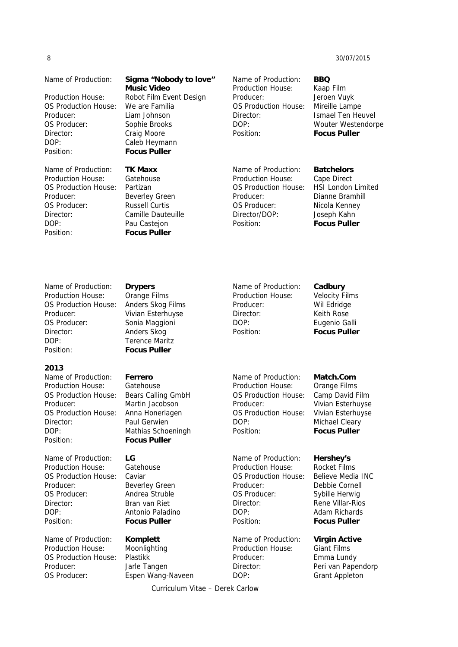| 8                                                                                                                                                      |                                                                                                                                                                                   |                                                                                                                                          | 30/07/2015                                                                                                                                            |
|--------------------------------------------------------------------------------------------------------------------------------------------------------|-----------------------------------------------------------------------------------------------------------------------------------------------------------------------------------|------------------------------------------------------------------------------------------------------------------------------------------|-------------------------------------------------------------------------------------------------------------------------------------------------------|
| Name of Production:<br><b>Production House:</b><br><b>OS Production House:</b><br>Producer:<br>OS Producer:<br>Director:<br>DOP:<br>Position:          | Sigma "Nobody to love"<br><b>Music Video</b><br>Robot Film Event Design<br>We are Familia<br>Liam Johnson<br>Sophie Brooks<br>Craig Moore<br>Caleb Heymann<br><b>Focus Puller</b> | Name of Production:<br>Production House:<br>Producer:<br>OS Production House:<br>Director:<br>DOP:<br>Position:                          | <b>BBQ</b><br>Kaap Film<br>Jeroen Vuyk<br>Mireille Lampe<br>Ismael Ten Heuvel<br>Wouter Westendorpe<br><b>Focus Puller</b>                            |
| Name of Production:<br><b>Production House:</b><br>OS Production House:<br>Producer:<br>OS Producer:<br>Director:<br>DOP:<br>Position:                 | <b>TK Maxx</b><br>Gatehouse<br>Partizan<br><b>Beverley Green</b><br><b>Russell Curtis</b><br>Camille Dauteuille<br>Pau Castejon<br><b>Focus Puller</b>                            | Name of Production:<br><b>Production House:</b><br>OS Production House:<br>Producer:<br>OS Producer:<br>Director/DOP:<br>Position:       | <b>Batchelors</b><br>Cape Direct<br><b>HSI London Limited</b><br>Dianne Bramhill<br>Nicola Kenney<br>Joseph Kahn<br><b>Focus Puller</b>               |
| Name of Production:<br><b>Production House:</b><br>OS Production House:<br>Producer:<br>OS Producer:<br>Director:<br>DOP:<br>Position:                 | <b>Drypers</b><br>Orange Films<br>Anders Skog Films<br>Vivian Esterhuyse<br>Sonia Maggioni<br>Anders Skog<br><b>Terence Maritz</b><br><b>Focus Puller</b>                         | Name of Production:<br>Production House:<br>Producer:<br>Director:<br>DOP:<br>Position:                                                  | Cadbury<br><b>Velocity Films</b><br>Wil Edridge<br>Keith Rose<br>Eugenio Galli<br><b>Focus Puller</b>                                                 |
| 2013<br>Name of Production:<br><b>Production House:</b><br>OS Production House:<br>Producer:<br>OS Production House:<br>Director:<br>DOP:<br>Position: | Ferrero<br>Gatehouse<br>Bears Calling GmbH<br>Martin Jacobson<br>Anna Honerlagen<br>Paul Gerwien<br>Mathias Schoeningh<br><b>Focus Puller</b>                                     | Name of Production:<br><b>Production House:</b><br>OS Production House:<br>Producer:<br><b>OS Production House:</b><br>DOP:<br>Position: | Match.Com<br>Orange Films<br>Camp David Film<br>Vivian Esterhuyse<br>Vivian Esterhuyse<br>Michael Cleary<br><b>Focus Puller</b>                       |
| Name of Production:<br>Production House:<br>OS Production House:<br>Producer:<br>OS Producer:<br>Director:<br>DOP:<br>Position:                        | LG<br>Gatehouse<br>Caviar<br><b>Beverley Green</b><br>Andrea Struble<br>Bran van Riet<br>Antonio Paladino<br><b>Focus Puller</b>                                                  | Name of Production:<br><b>Production House:</b><br>OS Production House:<br>Producer:<br>OS Producer:<br>Director:<br>DOP:<br>Position:   | Hershey's<br><b>Rocket Films</b><br>Believe Media INC<br>Debbie Cornell<br>Sybille Herwig<br>Rene Villar-Rios<br>Adam Richards<br><b>Focus Puller</b> |
| Name of Production:<br>Production House:<br>OS Production House:<br>Producer:                                                                          | <b>Komplett</b><br>Moonlighting<br>Plastikk<br>Jarle Tangen                                                                                                                       | Name of Production:<br>Production House:<br>Producer:<br>Director:                                                                       | <b>Virgin Active</b><br><b>Giant Films</b><br>Emma Lundy<br>Peri van Papendorp                                                                        |

Curriculum Vitae – Derek Carlow

DOP: Grant Appleton

OS Producer: Espen Wang-Naveen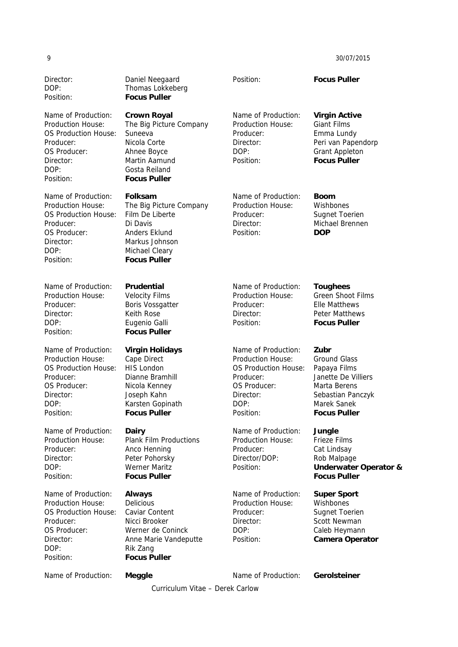Curriculum Vitae – Derek Carlow Director: Daniel Neegaard DOP: Thomas Lokkeberg Position: **Focus Puller**  Position: **Focus Puller**  Name of Production: **Crown Royal**  Production House: The Big Picture Company OS Production House: Suneeva Producer: Nicola Corte OS Producer: Ahnee Boyce Director: Martin Aamund DOP: Gosta Reiland Position: **Focus Puller**  Name of Production: **Virgin Active**  Production House: Giant Films Producer: Emma Lundy Director: Peri van Papendorp DOP: Grant Appleton Position: **Focus Puller**  Name of Production: **Folksam**  Production House: The Big Picture Company OS Production House: Film De Liberte Producer: Di Davis OS Producer: Anders Eklund Director: Markus Johnson DOP: Michael Cleary Position: **Focus Puller** Name of Production: **Boom** Production House: Wishbones Producer: Sugnet Toerien Director: Michael Brennen Position: **DOP**  Name of Production: **Prudential**  Production House: Velocity Films Producer: Boris Vossgatter Director: Keith Rose DOP: Eugenio Galli Position: **Focus Puller**  Name of Production: **Toughees**  Production House: Green Shoot Films Producer: File Matthews Director: Peter Matthews Position: **Focus Puller**  Name of Production: **Virgin Holidays**  Production House: Cape Direct OS Production House: HIS London Producer: Dianne Bramhill OS Producer: Nicola Kenney Director: Joseph Kahn DOP: Karsten Gopinath Position: **Focus Puller**  Name of Production: **Zubr**  Production House: Ground Glass OS Production House: Papaya Films Producer: Janette De Villiers OS Producer: Marta Berens Director: Sebastian Panczyk DOP: Marek Sanek Position: **Focus Puller**  Name of Production: **Dairy**  Production House: Plank Film Productions Producer: Anco Henning Director: Peter Pohorsky DOP: Werner Maritz Position: **Focus Puller**  Name of Production: **Jungle**  Production House: Frieze Films Producer: Cat Lindsay Director/DOP: Rob Malpage Position: **Underwater Operator & Focus Puller**  Name of Production: **Always** Production House: Delicious OS Production House: Caviar Content Producer: Nicci Brooker OS Producer: Werner de Coninck Director: Anne Marie Vandeputte DOP: Rik Zang Position: **Focus Puller**  Name of Production: **Super Sport**  Production House: Wishbones Producer: Sugnet Toerien Director: Scott Newman DOP: Caleb Heymann Position: **Camera Operator**  Name of Production: **Meggle Communist Communist Production: Gerolsteiner**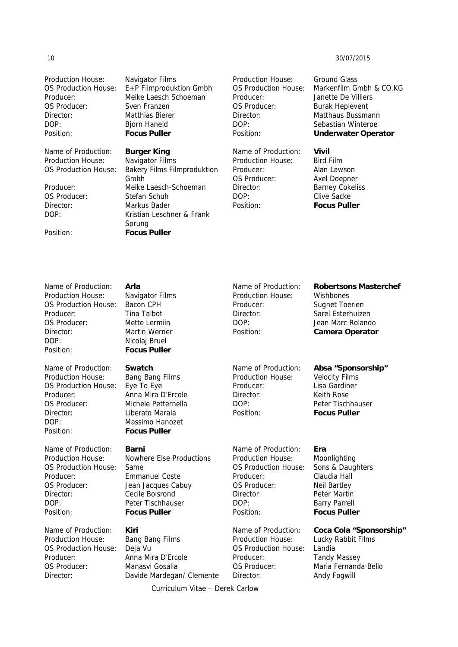Production House: Navigator Films OS Producer: Sven Franzen Director: Matthias Bierer DOP: Bjorn Haneld Position: **Focus Puller** 

Name of Production: **Burger King**  Production House: Navigator Films

OS Producer: Stefan Schuh DOP: Kristian Leschner & Frank

Position: **Focus Puller** 

OS Production House: E+P Filmproduktion Gmbh Producer: Meike Laesch Schoeman

OS Production House: Bakery Films Filmproduktion Gmbh Producer: Meike Laesch-Schoeman Director: Markus Bader

Production House: Ground Glass Producer: Janette De Villiers OS Producer: Burak Heplevent Director: Matthaus Bussmann DOP: Sebastian Winteroe Position: **Underwater Operator** 

Name of Production: **Vivil**  Production House: Bird Film Producer: Alan Lawson OS Producer: Axel Doepner Director: Barney Cokeliss DOP: Clive Sacke Position: **Focus Puller** 

OS Production House: Markenfilm Gmbh & CO.KG

Name of Production: **Robertsons Masterchef**

Name of Production: **Absa "Sponsorship"** 

Production House: Wishbones Producer: Sugnet Toerien Director: Sarel Esterhuizen DOP: Jean Marc Rolando Position: **Camera Operator** 

Name of Production: **Arla**  Production House: Navigator Films OS Production House: Bacon CPH Producer: Tina Talbot OS Producer: Mette Lermiin Director: Martin Werner DOP: Nicolaj Bruel Position: **Focus Puller** 

Name of Production: **Swatch**  Production House: Bang Bang Films OS Production House: Eye To Eye Producer: Anna Mira D'Ercole OS Producer: Michele Petternella Director: Liberato Maraia DOP: Massimo Hanozet Position: **Focus Puller** 

Name of Production: **Barni** OS Production House: Same Producer: Emmanuel Coste OS Producer: Jean Jacques Cabuy Director: Cecile Boisrond DOP: Peter Tischhauser Position: **Focus Puller** 

Name of Production: **Kiri**  Production House: Bang Bang Films OS Production House: Deja Vu Producer: Anna Mira D'Ercole OS Producer: Manasvi Gosalia

Sprung

Production House: Nowhere Else Productions

Director: Davide Mardegan/ Clemente

Production House: Moonlighting Producer: Claudia Hall OS Producer: Neil Bartley Director: Peter Martin DOP: Barry Parrell Position: **Focus Puller** 

Production House: Lucky Rabbit Films OS Production House: Landia Producer: Tandy Massey Director: Andy Fogwill

Production House: Velocity Films Producer: Lisa Gardiner Director: Keith Rose DOP: Peter Tischhauser Position: **Focus Puller** 

# Name of Production: **Era**

OS Production House: Sons & Daughters

Name of Production: **Coca Cola "Sponsorship"** OS Producer: Maria Fernanda Bello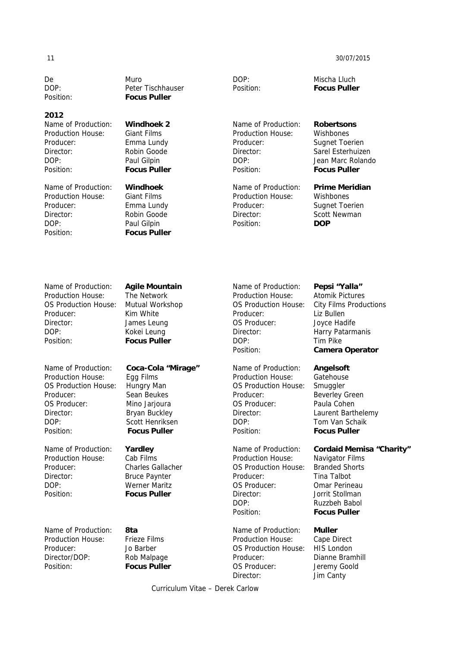De Muro DOP: Peter Tischhauser Position: **Focus Puller** 

### **2012**

Name of Production: **Windhoek 2**  Production House: Giant Films Producer: Emma Lundy Director: Robin Goode DOP: Paul Gilpin Position: **Focus Puller** 

Name of Production: **Windhoek**  Production House: Giant Films Producer: Emma Lundy Director: Robin Goode DOP: Paul Gilpin Position: **Focus Puller** 

DOP: Mischa Lluch

Name of Production: **Robertsons**  Production House: Wishbones Producer: Sugnet Toerien Director: Sarel Esterhuizen DOP: Jean Marc Rolando Position: **Focus Puller** 

Production House: Wishbones Producer: Sugnet Toerien Director: Scott Newman Position: **DOP** 

Position: **Focus Puller** 

### Name of Production: **Prime Meridian**

Name of Production: **Agile Mountain**  Production House: The Network OS Production House: Mutual Workshop Producer: Kim White Director: James Leung DOP: Kokei Leung Position: **Focus Puller** 

Name of Production: **Coca-Cola "Mirage"**  Production House: Egg Films OS Production House: Hungry Man Producer: Sean Beukes OS Producer: Mino Jarjoura Director: Bryan Buckley DOP: Scott Henriksen Position: **Focus Puller**

Name of Production: **Yardley** Production House: Cab Films Producer: Charles Gallacher Director: Bruce Paynter DOP: Werner Maritz Position: **Focus Puller**

Name of Production: **8ta** Production House: Frieze Films Producer: Jo Barber Director/DOP: Rob Malpage Position: **Focus Puller**

Curriculum Vitae – Derek Carlow

Name of Production: **Pepsi "Yalla"** Production House: Atomik Pictures Producer: Liz Bullen OS Producer: Joyce Hadife Director: Harry Patarmanis DOP: Tim Pike Position: **Camera Operator** 

Name of Production: **Angelsoft**  Production House: Gatehouse OS Production House: Smuggler Producer: Beverley Green OS Producer: Paula Cohen Director: Laurent Barthelemy DOP: Tom Van Schaik Position: **Focus Puller**

Production House: Navigator Films OS Production House: Branded Shorts Producer: Tina Talbot OS Producer: Omar Perineau Director: Jorrit Stollman DOP: Ruzzbeh Babol Position: **Focus Puller**

Name of Production: **Muller**  Production House: Cape Direct OS Production House: HIS London Producer: Dianne Bramhill OS Producer: Jeremy Goold Director: Jim Canty

OS Production House: City Films Productions

## Name of Production: **Cordaid Memisa "Charity"**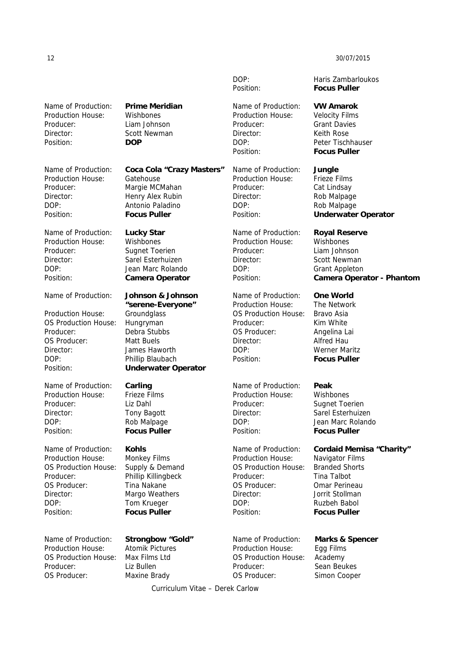Name of Production: **Prime Meridian** Production House: Wishbones Producer: Liam Johnson Director: Scott Newman Position: **DOP**

Production House: Gatehouse Producer: Margie MCMahan Director: Henry Alex Rubin DOP: Antonio Paladino Position: **Focus Puller** 

Name of Production: **Lucky Star** Production House: Wishbones Producer: Sugnet Toerien Director: Sarel Esterhuizen DOP: Jean Marc Rolando Position: **Camera Operator** 

Production House: Groundglass OS Production House: Hungryman Producer: Debra Stubbs OS Producer: Matt Buels Director: James Haworth DOP: Phillip Blaubach Position: **Underwater Operator**

Name of Production: **Carling**  Production House: Frieze Films Producer: Liz Dahl Director: Tony Bagott DOP: Rob Malpage Position: **Focus Puller** 

Name of Production: **Kohls**  Production House: Monkey Films OS Production House: Supply & Demand Producer: Phillip Killingbeck OS Producer: Tina Nakane Director: Margo Weathers DOP: Tom Krueger Position: **Focus Puller** 

Production House: Atomik Pictures OS Production House: Max Films Ltd Producer: Liz Bullen OS Producer: Maxine Brady

Name of Production: **Coca Cola "Crazy Masters"**

# Name of Production: **Johnson & Johnson "serene-Everyone"**

Name of Production: **Strongbow "Gold"** 

Name of Production: **VW Amarok**  Production House: Velocity Films Producer: Grant Davies Director: Keith Rose DOP: Peter Tischhauser Position: **Focus Puller**

Name of Production: **Jungle**  Production House: Frieze Films Producer: Cat Lindsay Director: Rob Malpage DOP: Rob Malpage

Name of Production: **Royal Reserve** Production House: Wishbones Producer: Liam Johnson Director: Scott Newman DOP: Grant Appleton

Name of Production: **One World**  Production House: The Network OS Production House: Bravo Asia Producer: Kim White OS Producer: Angelina Lai Director: Alfred Hau DOP: Werner Maritz Position: **Focus Puller** 

Name of Production: **Peak**  Production House: Wishbones Producer: Sugnet Toerien Director: Sarel Esterhuizen DOP: Jean Marc Rolando Position: **Focus Puller** 

**Production House:** Navigator Films<br>OS Production House: Branded Shorts OS Production House: Producer: Tina Talbot OS Producer: Omar Perineau Director: Jorrit Stollman DOP: Ruzbeh Babol Position: **Focus Puller** 

Name of Production: **Marks & Spencer**  Production House: Egg Films OS Production House: Academy Producer: Sean Beukes OS Producer: Simon Cooper

DOP: Haris Zambarloukos Position: **Focus Puller**

Position: **Underwater Operator**

Position: **Camera Operator - Phantom**

# Name of Production: **Cordaid Memisa "Charity"**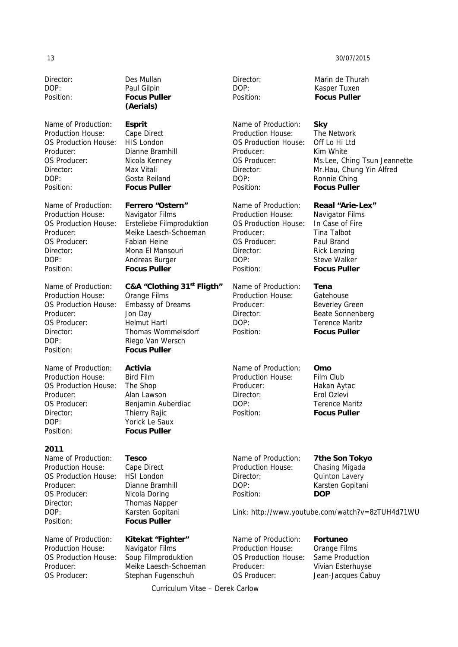Director: Des Mullan DOP: Paul Gilpin

Name of Production: **Esprit**  Production House: Cape Direct OS Production House: HIS London Producer: Dianne Bramhill OS Producer: Nicola Kenney Director: Max Vitali DOP: Gosta Reiland Position: **Focus Puller** 

Name of Production: **Ferrero "Ostern"** Production House: Navigator Films OS Producer: Fabian Heine Director: Mona El Mansouri DOP: Andreas Burger Position: **Focus Puller** 

Production House: Orange Films OS Production House: Embassy of Dreams Producer: Jon Day OS Producer: Helmut Hartl DOP: Riego Van Wersch Position: **Focus Puller** 

Name of Production: **Activia** Production House: Bird Film OS Production House: The Shop Producer: Alan Lawson OS Producer: Benjamin Auberdiac Director: Thierry Rajic DOP: Yorick Le Saux Position: **Focus Puller**

### **2011**

Name of Production: **Tesco**  Production House: Cape Direct OS Production House: HSI London Producer: Dianne Bramhill OS Producer: Nicola Doring Director: Thomas Napper DOP: Karsten Gopitani Position: **Focus Puller** 

Production House: Navigator Films OS Production House: Soup Filmproduktion OS Producer: Stephan Fugenschuh

Position: **Focus Puller (Aerials)** 

OS Production House: Ersteliebe Filmproduktion Producer: Meike Laesch-Schoeman

Name of Production: **C&A "Clothing 31st Fligth"**

Director: Thomas Wommelsdorf

Name of Production: **Kitekat "Fighter"**  Producer: Meike Laesch-Schoeman Director: Marin de Thurah DOP: Kasper Tuxen Position: **Focus Puller** 

Name of Production: **Sky**  Production House: The Network OS Production House: Off Lo Hi Ltd Producer: Kim White OS Producer: Ms.Lee, Ching Tsun Jeannette Director: Mr.Hau, Chung Yin Alfred DOP: Ronnie Ching Position: **Focus Puller** 

Name of Production: **Reaal "Arie-Lex"** Production House: Navigator Films OS Production House: In Case of Fire Producer: Tina Talbot OS Producer: Paul Brand Director: Rick Lenzing DOP: Steve Walker Position: **Focus Puller** 

Name of Production: **Tena**  Production House: Gatehouse Producer: Beverley Green Director: Beate Sonnenberg DOP: Terence Maritz Position: **Focus Puller**

Name of Production: **Omo**  Production House: Film Club Producer: Hakan Aytac Director: Erol Ozlevi DOP: Terence Maritz Position: **Focus Puller** 

Production House: Chasing Migada Director: Quinton Lavery DOP: Karsten Gopitani Position: **DOP** 

Name of Production: **7the Son Tokyo**

Link: http://www.youtube.com/watch?v=8zTUH4d71WU

Name of Production: **Fortuneo**  Production House: Orange Films OS Production House: Same Production Producer: Vivian Esterhuyse OS Producer: Jean-Jacques Cabuy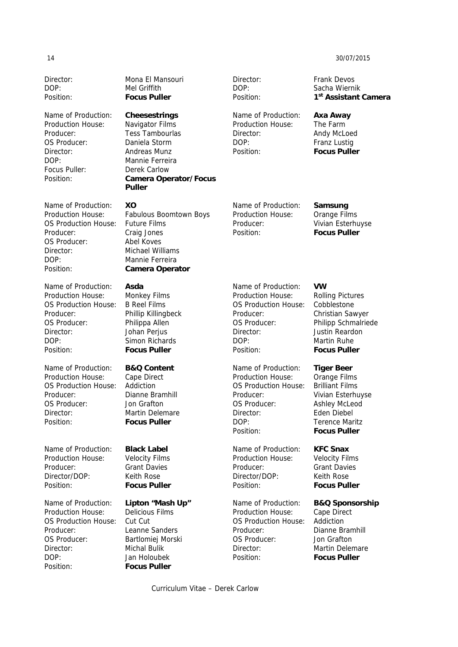Director: Mona El Mansouri

Production House: Navigator Films Producer: Tess Tambourlas OS Producer: Daniela Storm Director: Andreas Munz DOP: Mannie Ferreira Focus Puller: Derek Carlow

Name of Production: **XO** OS Production House: Future Films Producer: Craig Jones OS Producer: Abel Koves Director: Michael Williams DOP: Mannie Ferreira

Name of Production: **Asda**  Production House: Monkey Films OS Production House: B Reel Films Producer: Phillip Killingbeck OS Producer: Philippa Allen Director: Johan Perjus DOP: Simon Richards Position: **Focus Puller** 

Name of Production: **B&Q Content**  Production House: Cape Direct OS Production House: Addiction Producer: Dianne Bramhill OS Producer: Jon Grafton Director: Martin Delemare Position: **Focus Puller** 

Name of Production: **Black Label**  Production House: Velocity Films Producer: Grant Davies Director/DOP: Keith Rose Position: **Focus Puller** 

Name of Production: **Lipton "Mash Up"**  Production House: Delicious Films OS Production House: Cut Cut Producer: Leanne Sanders OS Producer: Bartlomiej Morski Director: Michal Bulik DOP: Jan Holoubek Position: **Focus Puller** 

DOP: Mel Griffith Position: **Focus Puller**  Name of Production: **Cheesestrings** Position: **Camera Operator/Focus Puller**  Production House: Fabulous Boomtown Boys Position: **Camera Operator** 

Director: Frank Devos

Name of Production: **Axa Away**  Production House: The Farm Director: Andy McLoed DOP: Franz Lustig Position: **Focus Puller** 

Name of Production: **Samsung**  Production House: Orange Films Producer: Vivian Esterhuyse Position: **Focus Puller** 

Name of Production: **VW** Production House: Rolling Pictures OS Production House: Cobblestone Producer: Christian Sawyer OS Producer: Philipp Schmalriede Director: Justin Reardon DOP: Martin Ruhe Position: **Focus Puller** 

Name of Production: **Tiger Beer**  Production House: Orange Films OS Production House: Brilliant Films Producer: Vivian Esterhuyse OS Producer: Ashley McLeod Director: Eden Diebel DOP: Terence Maritz Position: **Focus Puller** 

Name of Production: **KFC Snax**  Production House: Velocity Films Producer: Grant Davies Director/DOP: Keith Rose Position: **Focus Puller** 

Name of Production: **B&Q Sponsorship**  Production House: Cape Direct OS Production House: Addiction Producer: Dianne Bramhill OS Producer: Jon Grafton Director: Martin Delemare Position: **Focus Puller** 

# DOP: Sacha Wiernik Position: **1st Assistant Camera**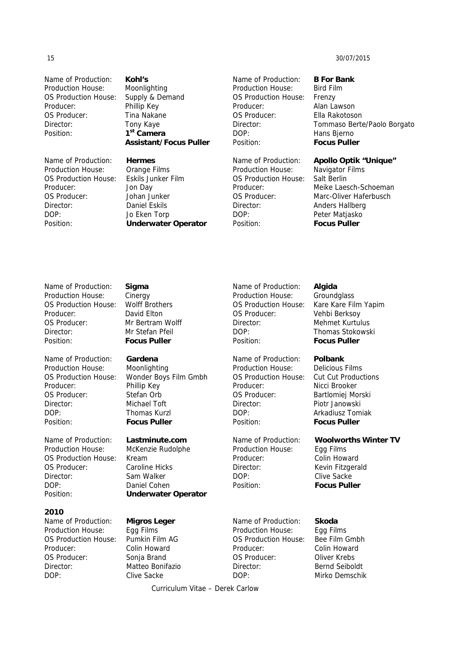Name of Production: **Kohl's**  Production House: Moonlighting OS Production House: Supply & Demand Producer: Phillip Key OS Producer: Tina Nakane Director: Tony Kaye Position: **1st Camera** 

Name of Production: **Hermes**  Production House: Orange Films OS Production House: Eskils Junker Film Producer: Jon Day OS Producer: Johan Junker Director: Daniel Eskils DOP: Jo Eken Torp

 **Assistant/Focus Puller** 

Position: **Underwater Operator** 

Name of Production: **B For Bank**  Production House: Bird Film OS Production House: Frenzy Producer: Alan Lawson OS Producer: Ella Rakotoson DOP: Hans Bjerno Position: **Focus Puller** 

Production House: Navigator Films OS Production House: Salt Berlin Director: Anders Hallberg DOP: Peter Matjasko Position: **Focus Puller** 

Director: Tommaso Berte/Paolo Borgato

### Name of Production: **Apollo Optik "Unique"**

Producer: Meike Laesch-Schoeman OS Producer: Marc-Oliver Haferbusch

Name of Production: **Sigma**  Production House: Cinergy OS Production House: Wolff Brothers Producer: David Elton OS Producer: Mr Bertram Wolff Director: Mr Stefan Pfeil Position: **Focus Puller** 

Name of Production: **Gardena**  Production House: Moonlighting Producer: Phillip Key OS Producer: Stefan Orb Director: Michael Toft DOP: Thomas Kurzl Position: **Focus Puller** 

Name of Production: **Lastminute.com**  Production House: McKenzie Rudolphe OS Production House: Kream OS Producer: Caroline Hicks Director: Sam Walker DOP: Daniel Cohen Position: **Underwater Operator** 

### **2010**

Name of Production: **Migros Leger**  Production House: Egg Films OS Production House: Pumkin Film AG Producer: Colin Howard OS Producer: Sonja Brand Director: Matteo Bonifazio DOP: Clive Sacke

OS Production House: Wonder Boys Film Gmbh

Name of Production: **Skoda**  Production House: Egg Films OS Production House: Bee Film Gmbh Producer: Colin Howard OS Producer: Oliver Krebs Director: Bernd Seiboldt DOP: Mirko Demschik

Position: **Focus Puller**  Name of Production: **Polbank**  Production House: Delicious Films OS Production House: Cut Cut Productions Producer: Nicci Brooker OS Producer: Bartlomiej Morski Director: Piotr Janowski DOP: Arkadiusz Tomiak

Name of Production: **Algida**  Production House: Groundglass

OS Production House: Kare Kare Film Yapim OS Producer: Vehbi Berksoy Director: Mehmet Kurtulus DOP: Thomas Stokowski

Name of Production: **Woolworths Winter TV** Production House: Egg Films Producer: Colin Howard Director: Kevin Fitzgerald DOP: Clive Sacke Position: **Focus Puller** 

Position: **Focus Puller**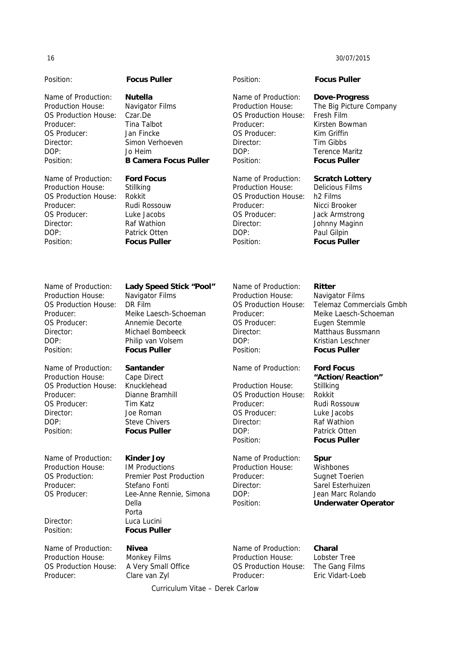Position: **Focus Puller** Position: **Focus Puller**  Name of Production: **Nutella**  Production House: Navigator Films OS Production House: Czar.De Producer: Tina Talbot OS Producer: Jan Fincke Director: Simon Verhoeven DOP: Jo Heim Position: **B Camera Focus Puller**  Name of Production: **Dove-Progress**  Production House: The Big Picture Company OS Production House: Fresh Film Producer: Kirsten Bowman OS Producer: Kim Griffin Director: Tim Gibbs DOP: Terence Maritz Position: **Focus Puller**  Name of Production: **Ford Focus** Production House: Stillking OS Production House: Rokkit Producer: Rudi Rossouw OS Producer: Luke Jacobs Director: Raf Wathion DOP: Patrick Otten Position: **Focus Puller**  Name of Production: **Scratch Lottery** Production House: Delicious Films OS Production House: h2 Films Producer: Nicci Brooker OS Producer: Jack Armstrong Director: Johnny Maginn DOP: Paul Gilpin Position: **Focus Puller**  Name of Production: **Lady Speed Stick "Pool"** Production House: Navigator Films OS Production House: DR Film Producer: Meike Laesch-Schoeman OS Producer: Annemie Decorte Director: Michael Bombeeck DOP: Philip van Volsem Position: **Focus Puller**  Name of Production: **Ritter**  Production House: Navigator Films OS Production House: Telemaz Commercials Gmbh Producer: Meike Laesch-Schoeman OS Producer: Eugen Stemmle Director: Matthaus Bussmann DOP: Kristian Leschner Position: **Focus Puller**  Name of Production: **Santander**  Production House: Cape Direct OS Production House: Knucklehead Producer: Dianne Bramhill OS Producer: Tim Katz Director: Joe Roman DOP: Steve Chivers Position: **Focus Puller**  Name of Production: **Ford Focus "Action/Reaction"**  Production House: Stillking OS Production House: Rokkit Producer: Rudi Rossouw OS Producer: Luke Jacobs Director: Raf Wathion DOP: Patrick Otten Position: **Focus Puller**  Name of Production: **Kinder Joy**  Production House: IM Productions OS Production: Premier Post Production Producer: Stefano Fonti OS Producer: Lee-Anne Rennie, Simona Della Porta Director: Luca Lucini Position: **Focus Puller**  Name of Production: **Spur**  Production House: Wishbones Producer: Sugnet Toerien Director: Sarel Esterhuizen DOP: Jean Marc Rolando Position: **Underwater Operator**  Name of Production: **Charal** 

Curriculum Vitae – Derek Carlow Producer: Eric Vidart-Loeb

Name of Production: **Nivea**  Production House: Monkey Films OS Production House: A Very Small Office Producer: Clare van Zyl

Production House: Lobster Tree OS Production House: The Gang Films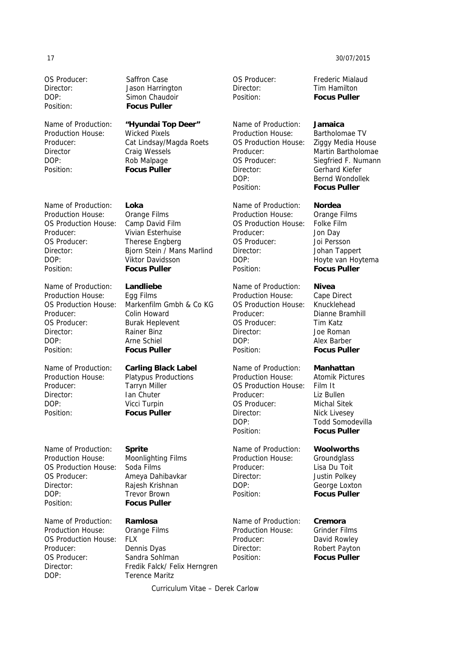# Curriculum Vitae – Derek Carlow

Position: **Focus Puller**  Production House: Wicked Pixels

Director Craig Wessels DOP: Rob Malpage Position: **Focus Puller** 

Name of Production: **Loka**  Production House: Orange Films OS Production House: Camp David Film Producer: Vivian Esterhuise OS Producer: Therese Engberg DOP: Viktor Davidsson Position: **Focus Puller** 

Name of Production: **Landliebe**  Production House: Egg Films Producer: Colin Howard OS Producer: Burak Heplevent Director: Rainer Binz DOP: Arne Schiel Position: **Focus Puller**

Name of Production: **Carling Black Label**  Production House: Platypus Productions Producer: Tarryn Miller Director: Ian Chuter DOP: Vicci Turpin Position: **Focus Puller**

Name of Production: **Sprite**  Production House: Moonlighting Films OS Production House: Soda Films OS Producer: Ameya Dahibavkar Director: Rajesh Krishnan DOP: Trevor Brown Position: **Focus Puller** 

Name of Production: **Ramlosa**  Production House: Orange Films OS Production House: FLX Producer: Dennis Dyas OS Producer: Sandra Sohlman DOP: Terence Maritz

OS Producer: Saffron Case Director: Jason Harrington DOP: Simon Chaudoir

Name of Production: **"Hyundai Top Deer"**  Producer: Cat Lindsay/Magda Roets

Director: Bjorn Stein / Mans Marlind

OS Production House: Markenfilm Gmbh & Co KG

Director: Fredik Falck/ Felix Herngren

Director: Tim Hamilton Position: **Focus Puller** 

Name of Production: **Jamaica**  Production House: Bartholomae TV OS Production House: Ziggy Media House Producer: Martin Bartholomae OS Producer: Siegfried F. Numann Director: Gerhard Kiefer DOP: Bernd Wondollek Position: **Focus Puller** 

Name of Production: **Nordea**  Production House: Orange Films OS Production House: Folke Film Producer: Jon Day OS Producer: Joi Persson Director: Johan Tappert DOP: Hoyte van Hoytema Position: **Focus Puller** 

Name of Production: **Nivea**  Production House: Cape Direct OS Production House: Knucklehead Producer: Dianne Bramhill OS Producer: Tim Katz Director: Joe Roman DOP: Alex Barber Position: **Focus Puller**

Name of Production: **Manhattan**  Production House: Atomik Pictures OS Production House: Film It Producer: Liz Bullen OS Producer: Michal Sitek Director: Nick Livesey DOP: Todd Somodevilla Position: **Focus Puller** 

Name of Production: **Woolworths**  Production House: Groundglass Producer: Lisa Du Toit Director: Justin Polkey DOP: George Loxton Position: **Focus Puller**

Name of Production: **Cremora**  Production House: Grinder Films Producer: David Rowley Director: Robert Payton Position: **Focus Puller** 

17 30/07/2015

OS Producer: Frederic Mialaud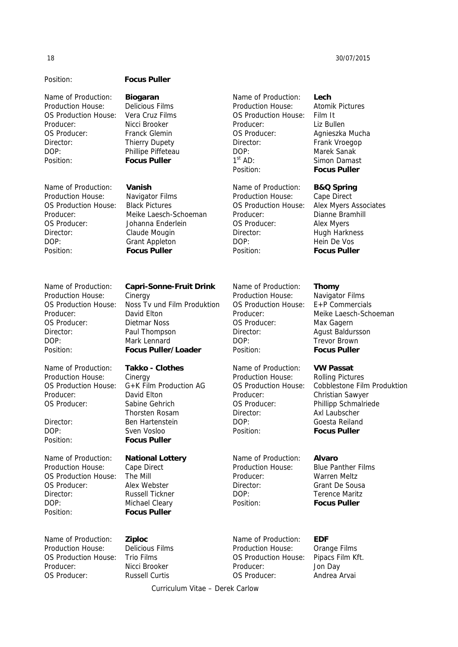Name of Production: **Biogaran**  Production House: Delicious Films OS Production House: Vera Cruz Films Producer: Nicci Brooker OS Producer: Franck Glemin Director: Thierry Dupety

Name of Production: **Vanish**  Production House: Navigator Films OS Production House: Black Pictures Producer: Meike Laesch-Schoeman OS Producer: Johanna Enderlein Director: Claude Mougin DOP: Grant Appleton Position: **Focus Puller**

Production House: Cinergy Producer: David Elton OS Producer: Dietmar Noss

Name of Production: **Takko - Clothes**  Production House: Cinergy Producer: David Elton OS Producer: Sabine Gehrich

Name of Production: **National Lottery**  Production House: Cape Direct OS Production House: The Mill OS Producer: Alex Webster Director: Russell Tickner DOP: Michael Cleary Position: **Focus Puller**

Name of Production: **Ziploc**  Production House: Delicious Films OS Production House: Trio Films Producer: Nicci Brooker OS Producer: Russell Curtis

# Position: **Focus Puller**

DOP: Phillipe Piffeteau Position: **Focus Puller** 

Name of Production: **Capri-Sonne-Fruit Drink**

OS Production House: Noss Tv und Film Produktion Director: Paul Thompson DOP: Mark Lennard Position: **Focus Puller/Loader** 

OS Production House: G+K Film Production AG Thorsten Rosam Director: Ben Hartenstein DOP: Sven Vosloo Position: **Focus Puller** 

Name of Production: **EDF**  Production House: Orange Films OS Production House: Pipacs Film Kft. Producer: Jon Day OS Producer: Andrea Arvai

Name of Production: **Lech**  Production House: Atomik Pictures OS Production House: Film It Producer: Liz Bullen OS Producer: Agnieszka Mucha Director: Frank Vroegop

DOP: Marek Sanak 1<sup>st</sup> AD: Simon Damast Position: **Focus Puller** 

Name of Production: **B&Q Spring** 

Production House: Cape Direct OS Production House: Alex Myers Associates Producer: Dianne Bramhill OS Producer: Alex Myers Director: Hugh Harkness DOP: Hein De Vos Position: **Focus Puller** 

### Name of Production: **Thomy**

Production House: Navigator Films OS Production House: E+P Commercials Producer: Meike Laesch-Schoeman OS Producer: Max Gagern Director: Agust Baldursson DOP: Trevor Brown Position: **Focus Puller** 

### Name of Production: **VW Passat**

Production House: Rolling Pictures OS Production House: Cobblestone Film Produktion Producer: Christian Sawyer OS Producer: Phillipp Schmalriede Director: Axl Laubscher DOP: Goesta Reiland Position: **Focus Puller** 

# Name of Production: **Alvaro**

Production House: Blue Panther Films Producer: Warren Meltz Director: Grant De Sousa DOP: Terence Maritz Position: **Focus Puller**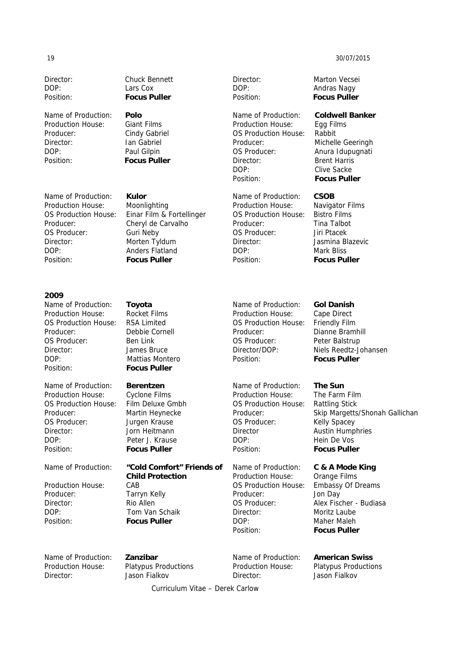Director: Chuck Bennett DOP: Lars Cox Position: **Focus Puller** 

Name of Production: **Polo** Production House: Giant Films Producer: Cindy Gabriel Director: Ian Gabriel DOP: Paul Gilpin Position: **Focus Puller** 

Name of Production: **Kulor**  Production House: Moonlighting Producer: Cheryl de Carvalho OS Producer: Guri Neby Director: Morten Tyldum DOP: Anders Flatland Position: **Focus Puller**

### **2009**

Name of Production: **Toyota**  Production House: Rocket Films OS Production House: RSA Limited Producer: Debbie Cornell OS Producer: Ben Link Director: James Bruce DOP: Mattias Montero Position: **Focus Puller** 

Name of Production: **Berentzen**  Production House: Cyclone Films OS Production House: Film Deluxe Gmbh Producer: Martin Heynecke OS Producer: Jurgen Krause Director: Jorn Heitmann DOP: Peter J. Krause Position: **Focus Puller** 

Name of Production: **"Cold Comfort" Friends of** 

Production House: CAB Producer: Tarryn Kelly Director: Rio Allen DOP: Tom Van Schaik Position: **Focus Puller** 

OS Production House: Einar Film & Fortellinger

Production House: Egg Films OS Production House: Rabbit Producer: Michelle Geeringh OS Producer: Anura Idupugnati Director: Brent Harris DOP: Clive Sacke Position: **Focus Puller** 

Name of Production: **CSOB**  Production House: Navigator Films OS Production House: Bistro Films Producer: Tina Talbot OS Producer: Jiri Ptacek Director: Jasmina Blazevic DOP: Mark Bliss Position: **Focus Puller**

Name of Production: **Gol Danish**  Production House: Cape Direct OS Production House: Friendly Film Producer: Dianne Bramhill OS Producer: Peter Balstrup Director/DOP: Niels Reedtz-Johansen Position: **Focus Puller** 

Name of Production: **The Sun**  Production House: The Farm Film OS Production House: Rattling Stick OS Producer: Kelly Spacey Director **Austin Humphries** DOP: Hein De Vos Position: **Focus Puller** 

Production House: Orange Films OS Production House: Embassy Of Dreams Producer: Jon Day Director: Moritz Laube DOP: Maher Maleh Position: **Focus Puller** 

Name of Production: **Zanzibar** 

Production House: Platypus Productions Director: Jason Fialkov

 **Child Protection** 

Name of Production: **American Swiss**  Production House: Platypus Productions Director: Jason Fialkov

Director: Marton Vecsei DOP: Andras Nagy Position: **Focus Puller** 

Name of Production: **Coldwell Banker**

Producer: Skip Margetts/Shonah Gallichan

## Name of Production: **C & A Mode King**

OS Producer: Alex Fischer - Budiasa